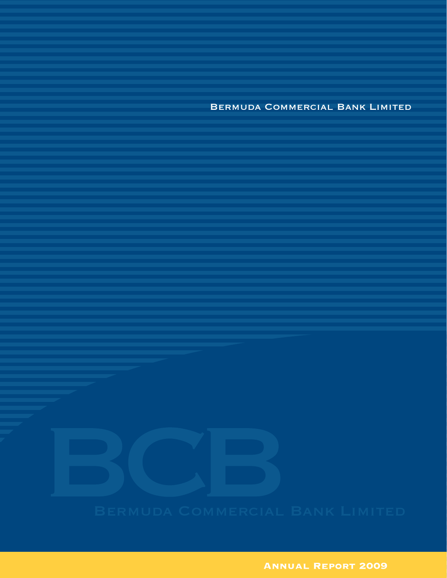Bermuda Commercial Bank Limited

**ANNUAL REPORT 2009**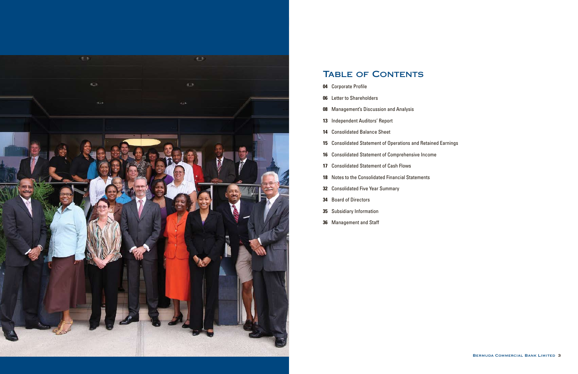

## TABLE OF CONTENTS

- Corporate Profile
- Letter to Shareholders
- Management's Discussion and Analysis
- Independent Auditors' Report
- Consolidated Balance Sheet
- Consolidated Statement of Operations and Retained Earnings
- Consolidated Statement of Comprehensive Income
- Consolidated Statement of Cash Flows
- Notes to the Consolidated Financial Statements
- Consolidated Five Year Summary
- Board of Directors
- Subsidiary Information
- Management and Staff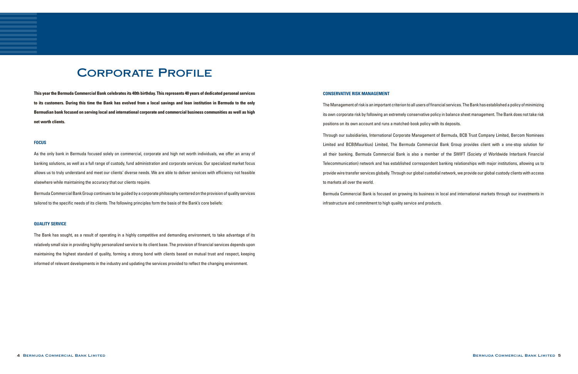# Corporate Profile

**This year the Bermuda Commercial Bank celebrates its 40th birthday. This represents 40 years of dedicated personal services to its customers. During this time the Bank has evolved from a local savings and loan institution in Bermuda to the only Bermudian bank focused on serving local and international corporate and commercial business communities as well as high net worth clients.**

### **FOCUS**

As the only bank in Bermuda focused solely on commercial, corporate and high net worth individuals, we offer an array of banking solutions, as well as a full range of custody, fund administration and corporate services. Our specialized market focus allows us to truly understand and meet our clients' diverse needs. We are able to deliver services with efficiency not feasible elsewhere while maintaining the accuracy that our clients require.

Bermuda CommercialBankGroup continues to be guided by a corporate philosophy centered on the provision of quality services tailored to the specific needs of its clients. The following principles form the basis of the Bank's core beliefs:

### **QUALITY SERVICE**

The Management of risk is an important criterion to all users of financial services. The Bank has established a policy of minimizing its own corporate risk by following an extremely conservative policy in balance sheet management. The Bank does not take risk positions on its own account and runs a matched-book policy with its deposits. Through our subsidiaries, International Corporate Management of Bermuda, BCB Trust Company Limited, Bercom Nominees Limited and BCB(Mauritius) Limited, The Bermuda Commercial Bank Group provides client with a one-stop solution for all their banking. Bermuda Commercial Bank is also a member of the SWIFT (Society of Worldwide Interbank Financial Telecommunication) network and has established correspondent banking relationships with major institutions, allowing us to provide wire transfer services globally. Through our global custodial network, we provide our global custody clients with access to markets all over the world.

The Bank has sought, as a result of operating in a highly competitive and demanding environment, to take advantage of its relatively small size in providing highly personalized service to its client base. The provision of financial services depends upon maintaining the highest standard of quality, forming a strong bond with clients based on mutual trust and respect, keeping informed of relevant developments in the industry and updating the services provided to reflect the changing environment.

### **CONSERVATIVE RISK MANAGEMENT**

Bermuda Commercial Bank is focused on growing its business in local and international markets through our investments in infrastructure and commitment to high quality service and products.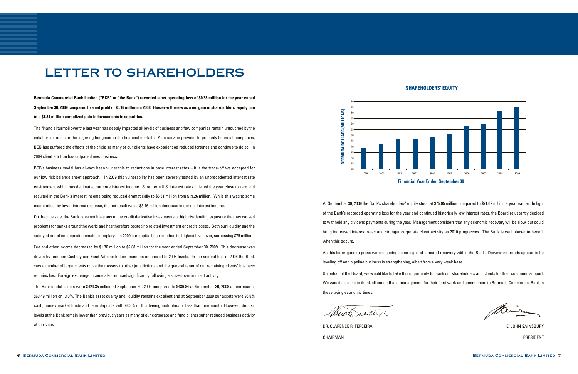### **shareholders' equity**

Minima



# LETTER TO SHAREHOLDERS

**Bermuda Commercial Bank Limited ("BCB" or "the Bank") recorded a net operating loss of \$0.38 million for the year ended September 30, 2009 compared to a net profit of \$5.16 million in 2008. However there was a net gain in shareholders' equity due to a \$1.81 million unrealized gain in investments in securities.** 

The financial turmoil over the last year has deeply impacted all levels of business and few companies remain untouched by the initial credit crisis or the lingering hangover in the financial markets. As a service provider to primarily financial companies, BCB has suffered the effects of the crisis as many of our clients have experienced reduced fortunes and continue to do so. In 2009 client attrition has outpaced new business.

BCB's business model has always been vulnerable to reductions in base interest rates – it is the trade-off we accepted for our low risk balance sheet approach. In 2009 this vulnerability has been severely tested by an unprecedented interest rate environment which has decimated our core interest income. Short term U.S. interest rates finished the year close to zero and resulted in the Bank's interest income being reduced dramatically to \$6.51 million from \$19.26 million. While this was to some extent offset by lower interest expense, the net result was a \$3.76 million decrease in our net interest income.

On the plus side, the Bank does not have any of the credit derivative investments or high risk lending exposure that has caused problems for banks around the world and has therefore posted no related investment or credit losses. Both our liquidity and the safety of our client deposits remain exemplary. In 2009 our capital base reached its highest level ever, surpassing \$75 million. Fee and other income decreased by \$1.70 million to \$2.88 million for the year ended September 30, 2009. This decrease was driven by reduced Custody and Fund Administration revenues compared to 2008 levels. In the second half of 2008 the Bank saw a number of large clients move their assets to other jurisdictions and the general tenor of our remaining clients' business remains low. Foreign exchange income also reduced significantly following a slow-down in client activity.

The Bank's total assets were \$423.35 million at September 30, 2009 compared to \$486.84 at September 30, 2008 a decrease of \$63.49 million or 13.0%. The Bank's asset quality and liquidity remains excellent and at September 2009 our assets were 96.5% cash, money market funds and term deposits with 98.3% of this having maturities of less than one month. However, deposit levels at the Bank remain lower than previous years as many of our corporate and fund clients suffer reduced business activity at this time.

At September 30, 2009 the Bank's shareholders' equity stood at \$75.05 million compared to \$71.62 million a year earlier. In light of the Bank's recorded operating loss for the year and continued historically low interest rates, the Board reluctantly decided to withhold any dividend payments during the year. Management considers that any economic recovery will be slow, but could bring increased interest rates and stronger corporate client activity as 2010 progresses. The Bank is well placed to benefit when this occurs.

As this letter goes to press we are seeing some signs of a muted recovery within the Bank. Downward trends appear to be leveling off and pipeline business is strengthening, albeit from a very weak base. On behalf of the Board, we would like to take this opportunity to thank our shareholders and clients for their continued support. We would also like to thank all our staff and management for their hard work and commitment to Bermuda Commercial Bank in these trying economic times.

neveling

DR. CLARENCE R. TERCEIRA E. JOHN SAINSBURY CHAIRMAN PRESIDENT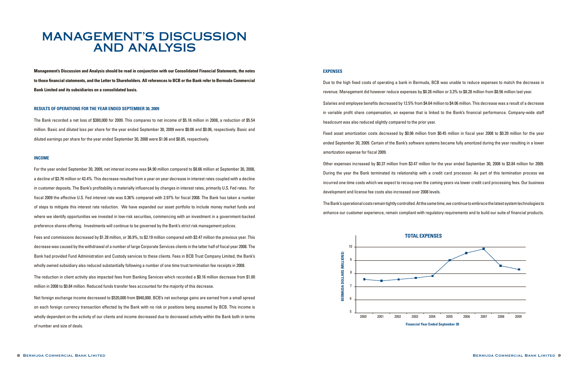

# MANAGEMENT'S DISCUSSION AND ANALYSIS

**Management's Discussion and Analysis should be read in conjunction with our Consolidated Financial Statements, the notes to those financial statements, and the Letter to Shareholders. All references to BCB or the Bank refer to Bermuda Commercial Bank Limited and its subsidiaries on a consolidated basis.**

### **RESULTS OF OPERATIONS FOR THE YEAR ENDED SEPTEMBER 30, 2009**

The Bank recorded a net loss of \$380,000 for 2009. This compares to net income of \$5.16 million in 2008, a reduction of \$5.54 million. Basic and diluted loss per share for the year ended September 30, 2009 were \$0.06 and \$0.06, respectively. Basic and diluted earnings per share for the year ended September 30, 2008 were \$1.06 and \$0.85, respectively.

### **INCOME**

For the year ended September 30, 2009, net interest income was \$4.90 million compared to \$8.66 million at September 30, 2008, a decline of \$3.76 million or 43.4%. This decrease resulted from a year on year decrease in interest rates coupled with a decline in customer deposits. The Bank's profitability is materially influenced by changes in interest rates, primarily U.S. Fed rates. For fiscal 2009 the effective U.S. Fed interest rate was 0.36% compared with 2.97% for fiscal 2008. The Bank has taken a number of steps to mitigate this interest rate reduction. We have expanded our asset portfolio to include money market funds and where we identify opportunities we invested in low-risk securities, commencing with an investment in a government-backed preference shares offering. Investments will continue to be governed by the Bank's strict risk management polices.

Fees and commissions decreased by \$1.28 million, or 36.9%, to \$2.19 million compared with \$3.47 million the previous year. This decrease was caused by the withdrawal of a number of large Corporate Services clients in the latter half of fiscal year 2008. The Bank had provided Fund Administration and Custody services to these clients. Fees in BCB Trust Company Limited, the Bank's wholly owned subsidiary also reduced substantially following a number of one time trust termination fee receipts in 2008.

The reduction in client activity also impacted fees from Banking Services which recorded a \$0.16 million decrease from \$1.00 million in 2008 to \$0.84 million. Reduced funds transfer fees accounted for the majority of this decrease.

Net foreign exchange income decreased to \$520,000 from \$940,000. BCB's net exchange gains are earned from a small spread on each foreign currency transaction effected by the Bank with no risk or positions being assumed by BCB. This income is wholly dependent on the activity of our clients and income decreased due to decreased activity within the Bank both in terms of number and size of deals.

### **EXPENSES**

Due to the high fixed costs of operating a bank in Bermuda, BCB was unable to reduce expenses to match the decrease in revenue. Management did however reduce expenses by \$0.28 million or 3.3% to \$8.28 million from \$8.56 million last year. Salaries and employee benefits decreased by 12.5% from \$4.64 million to \$4.06 million. This decrease was a result of a decrease in variable profit share compensation, an expense that is linked to the Bank's financial performance. Company-wide staff headcount was also reduced slightly compared to the prior year. Fixed asset amortization costs decreased by \$0.06 million from \$0.45 million in fiscal year 2008 to \$0.39 million for the year ended September 30, 2009. Certain of the Bank's software systems became fully amortized during the year resulting in a lower

amortization expense for fiscal 2009.

Other expenses increased by \$0.37 million from \$3.47 million for the year ended September 30, 2008 to \$3.84 million for 2009. During the year the Bank terminated its relationship with a credit card processor. As part of this termination process we incurred one-time costs which we expect to recoup over the coming years via lower credit card processing fees. Our business development and license fee costs also increased over 2008 levels. The Bank's operational costs remain tightly controlled. At the same time, we continue to embrace the latest system technologies to enhance our customer experience, remain compliant with regulatory requirements and to build our suite of financial products.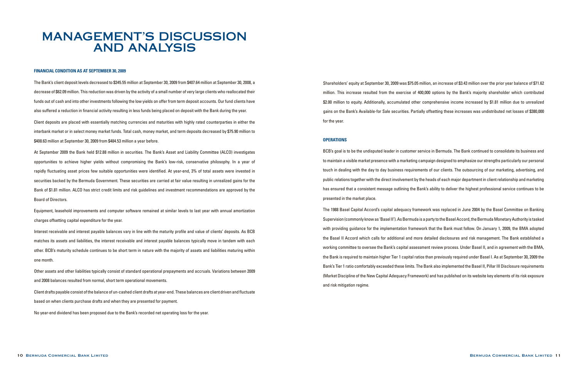# MANAGEMENT'S DISCUSSION AND ANALYSIS

### **FINANCIAL CONDITION AS AT SEPTEMBER 30, 2009**

The Bank's client deposit levels decreased to \$345.55 million at September 30, 2009 from \$407.64 million at September 30, 2008, a decrease of \$62.09 million. This reduction was driven by the activity of a small number of very large clients who reallocated their funds out of cash and into other investments following the low yields on offer from term deposit accounts. Our fund clients have also suffered a reduction in financial activity resulting in less funds being placed on deposit with the Bank during the year.

Client deposits are placed with essentially matching currencies and maturities with highly rated counterparties in either the interbank market or in select money market funds. Total cash, money market, and term deposits decreased by \$75.90 million to \$408.63 million at September 30, 2009 from \$484.53 million a year before.

At September 2009 the Bank held \$12.88 million in securities. The Bank's Asset and Liability Committee (ALCO) investigates opportunities to achieve higher yields without compromising the Bank's low-risk, conservative philosophy. In a year of rapidly fluctuating asset prices few suitable opportunities were identified. At year-end, 3% of total assets were invested in securities backed by the Bermuda Government. These securities are carried at fair value resulting in unrealized gains for the Bank of \$1.81 million. ALCO has strict credit limits and risk guidelines and investment recommendations are approved by the Board of Directors.

Equipment, leasehold improvements and computer software remained at similar levels to last year with annual amortization charges offsetting capital expenditure for the year.

Interest receivable and interest payable balances vary in line with the maturity profile and value of clients' deposits. As BCB matches its assets and liabilities, the interest receivable and interest payable balances typically move in tandem with each other. BCB's maturity schedule continues to be short term in nature with the majority of assets and liabilities maturing within one month.

Other assets and other liabilities typically consist of standard operational prepayments and accruals. Variations between 2009 and 2008 balances resulted from normal, short term operational movements.

Client drafts payable consist of the balance of un-cashed client drafts at year-end. These balances are client driven and fluctuate based on when clients purchase drafts and when they are presented for payment.

No year-end dividend has been proposed due to the Bank's recorded net operating loss for the year.

Shareholders' equity at September 30, 2009 was \$75.05 million, an increase of \$3.43 million over the prior year balance of \$71.62 million. This increase resulted from the exercise of 400,000 options by the Bank's majority shareholder which contributed \$2.00 million to equity. Additionally, accumulated other comprehensive income increased by \$1.81 million due to unrealized gains on the Bank's Available-for Sale securities. Partially offsetting these increases was undistributed net losses of \$380,000 for the year.

### **OPERATIONS**

BCB's goal is to be the undisputed leader in customer service in Bermuda. The Bank continued to consolidate its business and to maintain a visible market presence with a marketing campaign designed to emphasize our strengths particularly our personal touch in dealing with the day to day business requirements of our clients. The outsourcing of our marketing, advertising, and public relations together with the direct involvement by the heads of each major department in client relationship and marketing has ensured that a consistent message outlining the Bank's ability to deliver the highest professional service continues to be presented in the market place.

The 1988 Basel Capital Accord's capital adequacy framework was replaced in June 2004 by the Basel Committee on Banking Supervision (commonly know as 'Basel II'). As Bermuda is a party to the Basel Accord, the Bermuda Monetary Authority is tasked with providing guidance for the implementation framework that the Bank must follow. On January 1, 2009, the BMA adopted the Basel II Accord which calls for additional and more detailed disclosures and risk management. The Bank established a working committee to oversee the Bank's capital assessment review process. Under Basel II, and in agreement with the BMA, the Bank is required to maintain higher Tier 1 capital ratios than previously required under Basel I. As at September 30, 2009 the Bank's Tier 1 ratio comfortably exceeded these limits. The Bank also implemented the Basel II, Pillar III Disclosure requirements (Market Discipline of the New Capital Adequacy Framework) and has published on its website key elements of its risk exposure and risk mitigation regime.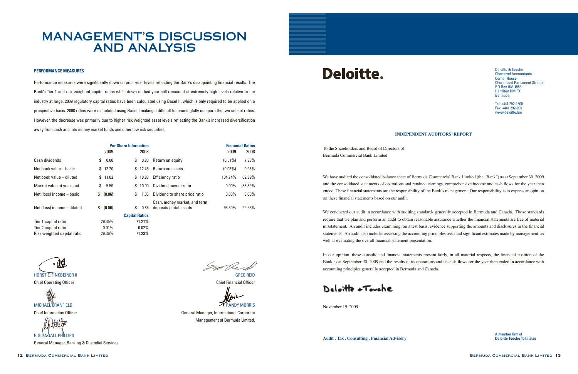# MANAGEMENT'S DISCUSSION AND ANALYSIS

### **PERFORMANCE MEASURES**

Performance measures were significantly down on prior year levels reflecting the Bank's disappointing financial results. The Bank's Tier 1 and risk weighted capital ratios while down on last year still remained at extremely high levels relative to the industry at large. 2009 regulatory capital ratios have been calculated using Basel II, which is only required to be applied on a prospective basis. 2008 ratios were calculated using Basel I making it difficult to meaningfully compare the two sets of ratios. However, the decrease was primarily due to higher risk weighted asset levels reflecting the Bank's increased diversification away from cash and into money market funds and other low risk securities.

 Management of Bermuda Limited.

General Manager, Banking & Custodial Services 

|                             | <b>Per Share Information</b> |                       |                                                         |            | <b>Financial Ratios</b> |
|-----------------------------|------------------------------|-----------------------|---------------------------------------------------------|------------|-------------------------|
|                             | 2009                         | 2008                  |                                                         | 2009       | 2008                    |
| Cash dividends              | 0.00<br>S                    | S.<br>$0.80\,$        | Return on equity                                        | $(0.51\%)$ | 7.83%                   |
| Net book value – basic      | \$12.20                      | \$12.45               | Return on assets                                        | $(0.08\%)$ | 0.93%                   |
| Net book value - diluted    | \$11.02                      | \$10.83               | Efficiency ratio                                        | 104.74%    | 62.39%                  |
| Market value at year-end    | 5.50<br>\$                   | 10.00<br>S.           | Dividend payout ratio                                   | $0.00\%$   | 88.89%                  |
| Net (loss) income - basic   | (0.06)<br>S.                 | \$<br>1.06            | Dividend to share price ratio                           | $0.00\%$   | 8.00%                   |
| Net (loss) income - diluted | (0.06)<br>\$                 | \$<br>0.85            | Cash, money market, and term<br>deposits / total assets | 96.50%     | 99.53%                  |
|                             |                              | <b>Capital Ratios</b> |                                                         |            |                         |
| Tier 1 capital ratio        | 29.35%                       | 71.21%                |                                                         |            |                         |
| Tier 2 capital ratio        | 0.01%                        | 0.02%                 |                                                         |            |                         |

Deloitte.

Risk weighted capital ratio 29.36% 71.23%

In Reid

**Chief Operating Officer Chief Financial Officer Chief Financial Officer Chief Financial Officer** 

MICHAEL CRANFIELD **CRANFIELD RANDY MORRIS** Chief Information Officer **Chief Information Officer** Chief Informational Corporate

### **INDEPENDENT AUDITORS' REPORT**

To the Shareholders and Board of Directors of Bermuda Commercial Bank Limited

We have audited the consolidated balance sheet of Bermuda Commercial Bank Limited (the "Bank") as at September 30, 2009 and the consolidated statements of operations and retained earnings, comprehensive income and cash flows for the year then ended. These financial statements are the responsibility of the Bank's management. Our responsibility is to express an opinion on these financial statements based on our audit.

We conducted our audit in accordance with auditing standards generally accepted in Bermuda and Canada. Those standards require that we plan and perform an audit to obtain reasonable assurance whether the financial statements are free of material misstatement. An audit includes examining, on a test basis, evidence supporting the amounts and disclosures in the financial statements. An audit also includes assessing the accounting principles used and significant estimates made by management, as well as evaluating the overall financial statement presentation.

In our opinion, these consolidated financial statements present fairly, in all material respects, the financial position of the Bank as at September 30, 2009 and the results of its operations and its cash flows for the year then ended in accordance with accounting principles generally accepted in Bermuda and Canada.

Delaithe +Touche

November 19, 2009

" (fil

**HORST E. FINKBEINER II** 

P. GLENDALL PHILLIPS

Deloitte & Touche Chartered Accountants Corner House Church and Parliament Streets P.O Box HM 1556 Hamilton HM FX Bermuda

Tel: +441 292-1500 Fax: +441 292-0961 www.deloitte.bm

A member firm of

**Audit . Tax . Consulting . Financial Advisory Deloitte Touche Tohmatsu**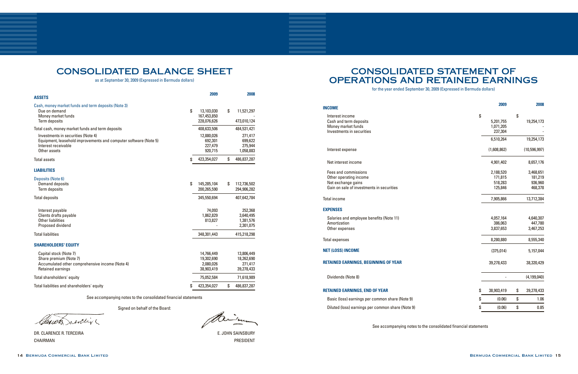DR. CLARENCE R. TERCEIRA E. JOHN SAINSBURY CHAIRMAN PRESIDENT

## CONSOLIDATED STATEMENT OF OPERATIONS AND RETAINED EARNINGS

for the year ended September 30, 2009 (Expressed in Bermuda dollars)

## CONSOLIDATED BALANCE SHEET

as at September 30, 2009 (Expressed in Bermuda dollars)

See accompanying notes to the consolidated financial statements

Signed on behalf of the Board:

Claudy severing

| <b>ASSETS</b>                                                                                                                                                                                     | 2009                                                       | 2008                                                          |
|---------------------------------------------------------------------------------------------------------------------------------------------------------------------------------------------------|------------------------------------------------------------|---------------------------------------------------------------|
| Cash, money market funds and term deposits (Note 3)<br>Due on demand<br>Money market funds<br>Term deposits                                                                                       | \$<br>13,103,030<br>167,453,850<br>228,076,626             | \$<br>11,521,297<br>473,010,124                               |
| Total cash, money market funds and term deposits<br>Investments in securities (Note 4)<br>Equipment, leasehold improvements and computer software (Note 5)<br>Interest receivable<br>Other assets | 408,633,506<br>12,880,026<br>692,301<br>227,479<br>920,715 | 484,531,421<br>271,417<br>699,622<br>275,944<br>1,058,883     |
| <b>Total assets</b>                                                                                                                                                                               | \$<br>423,354,027                                          | \$<br>486,837,287                                             |
| <b>LIABILITIES</b>                                                                                                                                                                                |                                                            |                                                               |
| Deposits (Note 6)<br><b>Demand deposits</b><br><b>Term deposits</b>                                                                                                                               | \$<br>145,285,104<br>200,265,590                           | \$<br>112,736,502<br>294,906,282                              |
| <b>Total deposits</b>                                                                                                                                                                             | 345,550,694                                                | 407,642,784                                                   |
| Interest payable<br>Clients drafts payable<br><b>Other liabilities</b><br>Proposed dividend<br><b>Total liabilities</b>                                                                           | 74,093<br>1,862,829<br>813,827<br>348,301,443              | 252,368<br>3,640,495<br>1,381,576<br>2,301,075<br>415,218,298 |
|                                                                                                                                                                                                   |                                                            |                                                               |
| <b>SHAREHOLDERS' EQUITY</b>                                                                                                                                                                       |                                                            |                                                               |
| Capital stock (Note 7)<br>Share premium (Note 7)<br>Accumulated other comprehensive income (Note 4)<br>Retained earnings                                                                          | 14,766,449<br>19,302,690<br>2,080,026<br>38,903,419        | 13,806,449<br>18,262,690<br>271,417<br>39,278,433             |
| Total shareholders' equity                                                                                                                                                                        | 75,052,584                                                 | 71,618,989                                                    |
| Total liabilities and shareholders' equity                                                                                                                                                        | \$<br>423,354,027                                          | \$<br>486,837,287                                             |

See accompanying notes to the consolidated financial statements

 $-i_{\rm 22}$ 

**2009 2008**

| \$                   | \$                   |
|----------------------|----------------------|
| 5,201,755            | 19,254,173           |
| 1,071,205            |                      |
| 237,304              |                      |
| 6,510,264            | 19,254,173           |
| (1,608,862)          | (10,596,997)         |
| 4,901,402            | 8,657,176            |
| 2,188,520            | 3,468,651            |
| 171,815              | 181,219              |
| 518,283              | 936,960              |
| 125,846              | 468,378              |
| 7,905,866            | 13,712,384           |
|                      |                      |
| 4,057,164            | 4,640,307            |
| 386,063<br>3,837,653 | 447,780<br>3,467,253 |
|                      |                      |
| 8,280,880            | 8,555,340            |
| (375, 014)           | 5,157,044            |
| 39,278,433           | 38,320,429           |
|                      | (4, 199, 040)        |
| \$<br>38,903,419     | \$<br>39,278,433     |
| \$<br>(0.06)         | \$<br>1.06           |
| \$<br>(0.06)         | \$<br>0.85           |

| <b>INCOME</b>                               |             |              |
|---------------------------------------------|-------------|--------------|
| Interest income                             | \$          | \$           |
| Cash and term deposits                      | 5,201,755   | 19,254,173   |
| Money market funds                          | 1,071,205   |              |
| Investments in securities                   | 237,304     |              |
|                                             | 6,510,264   | 19,254,173   |
| Interest expense                            | (1,608,862) | (10,596,997) |
| Net interest income                         | 4,901,402   | 8,657,176    |
| Fees and commissions                        | 2,188,520   | 3,468,651    |
| Other operating income                      | 171,815     | 181,219      |
| Net exchange gains                          | 518,283     | 936,960      |
| Gain on sale of investments in securities   | 125,846     | 468,378      |
| <b>Total income</b>                         | 7,905,866   | 13,712,384   |
| <b>EXPENSES</b>                             |             |              |
| Salaries and employee benefits (Note 11)    | 4,057,164   | 4,640,307    |
| Amortization                                | 386,063     | 447,780      |
| Other expenses                              | 3,837,653   | 3,467,253    |
| <b>Total expenses</b>                       | 8,280,880   | 8,555,340    |
| <b>NET (LOSS) INCOME</b>                    | (375, 014)  | 5,157,044    |
| <b>RETAINED EARNINGS, BEGINNING OF YEAR</b> | 39,278,433  | 38,320,429   |
|                                             |             |              |

Dividends (Note 8)

### **RETAINED EARNINGS, END OF YEAR**

Basic (loss) earnings per common share (Note 9) Diluted (loss) earnings per common share (Note 9)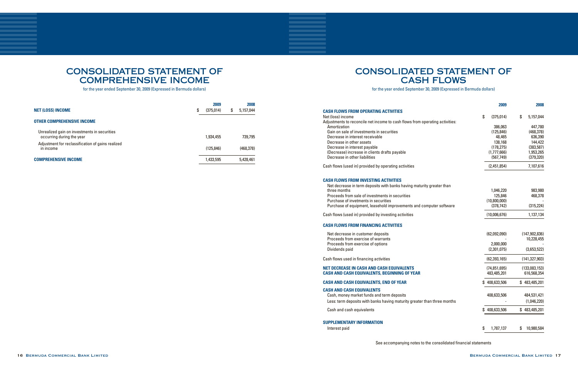## CONSOLIDATED STATEMENT OF COMPREHENSIVE INCOME

## CONSOLIDATED STATEMENT OF **CASH FLOWS**

for the year ended September 30, 2009 (Expressed in Bermuda dollars)

for the year ended September 30, 2009 (Expressed in Bermuda dollars)

|                                                                           |   | 2009       | 2008            |
|---------------------------------------------------------------------------|---|------------|-----------------|
| <b>NET (LOSS) INCOME</b>                                                  | S | (375,014)  | \$<br>5,157,044 |
| <b>OTHER COMPREHENSIVE INCOME</b>                                         |   |            |                 |
| Unrealized gain on investments in securities<br>occurring during the year |   | 1,934,455  | 739.795         |
| Adjustment for reclassification of gains realized<br>in income            |   | (125, 846) | (468, 378)      |
| <b>COMPREHENSIVE INCOME</b>                                               |   | 1,433,595  | 5,428,461       |

|                                                                                                                                                                                         | 2009                       | 2008            |
|-----------------------------------------------------------------------------------------------------------------------------------------------------------------------------------------|----------------------------|-----------------|
| <b>CASH FLOWS FROM OPERATING ACTIVITIES</b>                                                                                                                                             |                            |                 |
| Net (loss) income                                                                                                                                                                       | \$<br>(375,014)            | \$<br>5,157,044 |
| Adjustments to reconcile net income to cash flows from operating activities:<br>Amortization                                                                                            | 386,063                    | 447,780         |
| Gain on sale of investments in securities                                                                                                                                               | (125, 846)                 | (468, 378)      |
| Decrease in interest receivable                                                                                                                                                         | 48,465                     | 636,390         |
| Decrease in other assets                                                                                                                                                                | 138,168                    | 144,422         |
| Decrease in interest payable                                                                                                                                                            | (178, 275)                 | (383, 587)      |
| (Decrease) increase in clients drafts payable                                                                                                                                           | (1,777,666)                | 1,953,265       |
| Decrease in other liabilities                                                                                                                                                           | (567, 749)                 | (379, 320)      |
| Cash flows (used in) provided by operating activities                                                                                                                                   | (2,451,854)                | 7,107,616       |
| <b>CASH FLOWS FROM INVESTING ACTIVITIES</b><br>Net decrease in term deposits with banks having maturity greater than<br>three months<br>Proceeds from sale of investments in securities | 1,046,220<br>125,846       | 983,980         |
| Purchase of invetments in securities                                                                                                                                                    |                            | 468,378         |
| Purchase of equipment, leasehold improvements and computer software                                                                                                                     | (10,800,000)<br>(378, 742) | (315, 224)      |
|                                                                                                                                                                                         |                            |                 |
| Cash flows (used in) provided by investing activities                                                                                                                                   | (10,006,676)               | 1,137,134       |
| <b>CASH FLOWS FROM FINANCING ACTIVITIES</b>                                                                                                                                             |                            |                 |
| Net decrease in customer deposits<br>Proceeds from exercise of warrants                                                                                                                 | (62,092,090)               | (147, 902, 836) |
| Proceeds from exercise of options                                                                                                                                                       | 2,000,000                  | 10,228,455      |
| Dividends paid                                                                                                                                                                          | (2,301,075)                | (3,653,522)     |
|                                                                                                                                                                                         |                            |                 |
| Cash flows used in financing activities                                                                                                                                                 | (62, 393, 165)             | (141, 327, 903) |
| <b>NET DECREASE IN CASH AND CASH EQUIVALENTS</b>                                                                                                                                        | (74, 851, 695)             | (133,083,153)   |
| <b>CASH AND CASH EQUIVALENTS, BEGINNING OF YEAR</b>                                                                                                                                     | 483,485,201                | 616,568,354     |
| <b>CASH AND CASH EQUIVALENTS, END OF YEAR</b>                                                                                                                                           | 408,633,506                | \$483,485,201   |
| <b>CASH AND CASH EQUIVALENTS</b>                                                                                                                                                        |                            |                 |
| Cash, money market funds and term deposits                                                                                                                                              | 408,633,506                | 484,531,421     |
| Less: term deposits with banks having maturity greater than three months                                                                                                                |                            | (1,046,220)     |
| Cash and cash equivalents                                                                                                                                                               | 408,633,506<br>S           | \$483,485,201   |
| <b>SUPPLEMENTARY INFORMATION</b>                                                                                                                                                        |                            |                 |
| Interest paid                                                                                                                                                                           | \$<br>1,787,137            | 10,980,584<br>S |
|                                                                                                                                                                                         |                            |                 |

See accompanying notes to the consolidated financial statements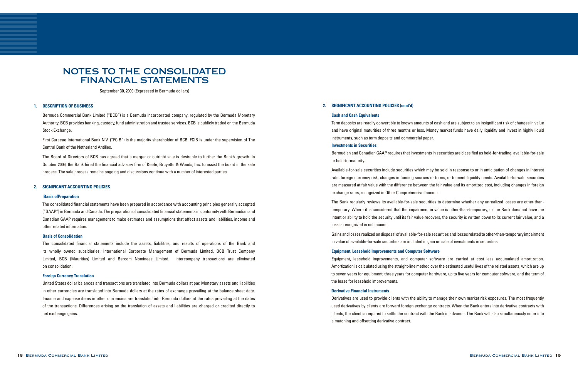September 30, 2009 (Expressed in Bermuda dollars)

### **1. DESCRIPTION OF BUSINESS**

Bermuda Commercial Bank Limited ("BCB") is a Bermuda incorporated company, regulated by the Bermuda Monetary Authority. BCB provides banking, custody, fund administration and trustee services. BCB is publicly traded on the Bermuda Stock Exchange.

First Curacao International Bank N.V. ("FCIB") is the majority shareholder of BCB. FCIB is under the supervision of The Central Bank of the Netherland Antilles.

The Board of Directors of BCB has agreed that a merger or outright sale is desirable to further the Bank's growth. In October 2006, the Bank hired the financial advisory firm of Keefe, Bruyette & Woods, Inc. to assist the board in the sale process. The sale process remains ongoing and discussions continue with a number of interested parties.

### **2. SIGNIFICANT ACCOUNTING POLICIES**

### **Basis of Preparation**

The consolidated financial statements have been prepared in accordance with accounting principles generally accepted ("GAAP") in Bermuda and Canada. The preparation of consolidated financial statements in conformity with Bermudian and Canadian GAAP requires management to make estimates and assumptions that affect assets and liabilities, income and other related information.

### **Basis of Consolidation**

The consolidated financial statements include the assets, liabilities, and results of operations of the Bank and its wholly owned subsidiaries, International Corporate Management of Bermuda Limited, BCB Trust Company Limited, BCB (Mauritius) Limited and Bercom Nominees Limited. Intercompany transactions are eliminated on consolidation.

### **Foreign Currency Translation**

United States dollar balances and transactions are translated into Bermuda dollars at par. Monetary assets and liabilities in other currencies are translated into Bermuda dollars at the rates of exchange prevailing at the balance sheet date. Income and expense items in other currencies are translated into Bermuda dollars at the rates prevailing at the dates of the transactions. Differences arising on the translation of assets and liabilities are charged or credited directly to net exchange gains.

### **2. SIGNIFICANT ACCOUNTING POLICIES (cont'd)**

### **Cash and Cash Equivalents**

Term deposits are readily convertible to known amounts of cash and are subject to an insignificant risk of changes in value and have original maturities of three months or less. Money market funds have daily liquidity and invest in highly liquid instruments, such as term deposits and commercial paper.

### **Investments in Securities**

Bermudian and Canadian GAAP requires that investments in securities are classified as held-for-trading, available-for-sale or held-to-maturity.

Available-for-sale securities include securities which may be sold in response to or in anticipation of changes in interest rate, foreign currency risk, changes in funding sources or terms, or to meet liquidity needs. Available-for-sale securities are measured at fair value with the difference between the fair value and its amortized cost, including changes in foreign exchange rates, recognized in Other Comprehensive Income.

The Bank regularly reviews its available-for-sale securities to determine whether any unrealized losses are other-thantemporary. Where it is considered that the impairment in value is other-than-temporary, or the Bank does not have the intent or ability to hold the security until its fair value recovers, the security is written down to its current fair value, and a loss is recognized in net income.

Gains and losses realized on disposal of available-for-sale securities and losses related to other-than-temporary impairment in value of available-for-sale securities are included in gain on sale of investments in securities.

### **Equipment, Leasehold Improvements and Computer Software**

Equipment, leasehold improvements, and computer software are carried at cost less accumulated amortization. Amortization is calculated using the straight-line method over the estimated useful lives of the related assets, which are up to seven years for equipment, three years for computer hardware, up to five years for computer software, and the term of the lease for leasehold improvements.

### **Derivative Financial Instruments**

Derivatives are used to provide clients with the ability to manage their own market risk exposures. The most frequently used derivatives by clients are forward foreign exchange contracts. When the Bank enters into derivative contracts with clients, the client is required to settle the contract with the Bank in advance. The Bank will also simultaneously enter into a matching and offsetting derivative contract.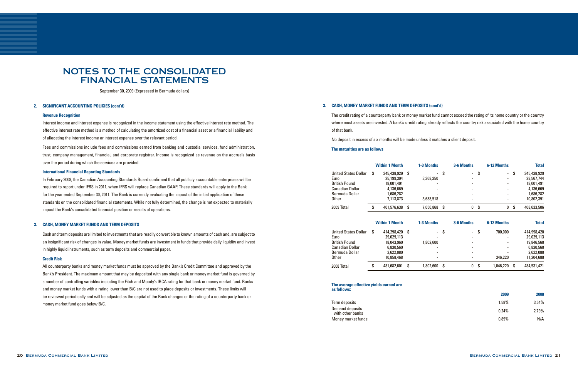September 30, 2009 (Expressed in Bermuda dollars)

### **2. SIGNIFICANT ACCOUNTING POLICIES (cont'd)**

### **Revenue Recognition**

Interest income and interest expense is recognized in the income statement using the effective interest rate method. The effective interest rate method is a method of calculating the amortized cost of a financial asset or a financial liability and of allocating the interest income or interest expense over the relevant period.

Fees and commissions include fees and commissions earned from banking and custodial services, fund administration, trust, company management, financial, and corporate registrar. Income is recognized as revenue on the accruals basis over the period during which the services are provided.

### **International Financial Reporting Standards**

In February 2008, the Canadian Accounting Standards Board confirmed that all publicly accountable enterprises will be required to report under IFRS in 2011, when IFRS will replace Canadian GAAP. These standards will apply to the Bank for the year ended September 30, 2011. The Bank is currently evaluating the impact of the initial application of these standards on the consolidated financial statements. While not fully determined, the change is not expected to materially impact the Bank's consolidated financial position or results of operations.

### **3. CASH, MONEY MARKET FUNDS AND TERM DEPOSITS**

Cash and term deposits are limited to investments that are readily convertible to known amounts of cash and, are subject to an insignificant risk of changes in value. Money market funds are investment in funds that provide daily liquidity and invest in highly liquid instruments, such as term deposits and commercial paper.

### **Credit Risk**

All counterparty banks and money market funds must be approved by the Bank's Credit Committee and approved by the Bank's President. The maximum amount that may be deposited with any single bank or money market fund is governed by a number of controlling variables including the Fitch and Moody's IBCA rating for that bank or money market fund. Banks and money market funds with a rating lower than B/C are not used to place deposits or investments. These limits will be reviewed periodically and will be adjusted as the capital of the Bank changes or the rating of a counterparty bank or money market fund goes below B/C.

### **3. CASH, MONEY MARKET FUNDS AND TERM DEPOSITS (cont'd)**

The credit rating of a counterparty bank or money market fund cannot exceed the rating of its home country or the country where most assets are invested. A bank's credit rating already reflects the country risk associated with the home country of that bank.

 No deposit in excess of six months will be made unless it matches a client deposit.

### **The maturities are as follows**

|                      |    | <b>Within 1 Month</b> |      | 1-3 Months |    | 3-6 Months |    | 6-12 Months |    | <b>Total</b> |
|----------------------|----|-----------------------|------|------------|----|------------|----|-------------|----|--------------|
| United States Dollar | S. | 345,438,929           | - \$ |            | \$ |            | \$ |             | \$ | 345,438,929  |
| Euro                 |    | 25,199,394            |      | 3,368,350  |    |            |    |             |    | 28,567,744   |
| British Pound        |    | 18,001,491            |      |            |    |            |    |             |    | 18,001,491   |
| Canadian Dollar      |    | 4,136,669             |      |            |    |            |    |             |    | 4,136,669    |
| Bermuda Dollar       |    | 1,686,282             |      |            |    |            |    |             |    | 1,686,282    |
| Other                |    | 7,113,873             |      | 3,688,518  |    |            |    |             |    | 10,802,391   |
| 2009 Total           | \$ | 401,576,638           | S    | 7,056,868  | S  | 0          | \$ | 0           | \$ | 408,633,506  |
|                      |    | <b>Within 1 Month</b> |      | 1-3 Months |    | 3-6 Months |    | 6-12 Months |    | <b>Total</b> |
| United States Dollar | S. | 414,298,420 \$        |      |            | S. |            | S  | 700,000     |    | 414,998,420  |
| Euro                 |    | 29,029,113            |      |            |    |            |    |             |    | 29,029,113   |
| <b>British Pound</b> |    | 18,043,960            |      | 1,802,600  |    |            |    |             |    | 19,846,560   |
| Canadian Dollar      |    | 6,830,560             |      |            |    |            |    |             |    | 6,830,560    |
| Bermuda Dollar       |    | 2,622,080             |      |            |    |            |    |             |    | 2,622,080    |
| Other                |    | 10,858,468            |      |            |    |            |    | 346.220     |    | 11,204,688   |
| 2008 Total           | \$ | 481,682,601           | S    | 1,802,600  | S. | 0          | S  | 1,046,220   | S  | 484,531,421  |
|                      |    |                       |      |            |    |            |    |             |    |              |

|                      |    | <b>Within 1 Month</b> |      | 1-3 Months |    | 3-6 Months               |      | 6-12 Months |    | <b>Total</b> |
|----------------------|----|-----------------------|------|------------|----|--------------------------|------|-------------|----|--------------|
| Inited States Dollar | S. | 345,438,929           | -S   |            | \$ | $\overline{\phantom{0}}$ | - \$ |             | \$ | 345,438,929  |
| uro                  |    | 25,199,394            |      | 3,368,350  |    |                          |      |             |    | 28,567,744   |
| ritish Pound         |    | 18,001,491            |      |            |    |                          |      |             |    | 18,001,491   |
| anadian Dollar'      |    | 4,136,669             |      |            |    |                          |      |             |    | 4,136,669    |
| lermuda Dollar       |    | 1,686,282             |      |            |    |                          |      |             |    | 1,686,282    |
| ther !               |    | 7,113,873             |      | 3,688,518  |    |                          |      |             |    | 10,802,391   |
| 009 Total            | \$ | 401,576,638           | -\$  | 7,056,868  | \$ | 0                        | -\$  | 0           | S. | 408,633,506  |
|                      |    | <b>Within 1 Month</b> |      | 1-3 Months |    | 3-6 Months               |      | 6-12 Months |    | <b>Total</b> |
| Inited States Dollar | \$ | 414,298,420           | - \$ |            | S  | -                        | -S   | 700,000     |    | 414,998,420  |
| uro                  |    | 29,029,113            |      |            |    |                          |      |             |    | 29,029,113   |
| ritish Pound         |    | 18,043,960            |      | 1,802,600  |    |                          |      |             |    | 19,846,560   |
| anadian Dollar'      |    | 6,830,560             |      |            |    |                          |      |             |    | 6,830,560    |
| ¦ermuda Dollar       |    | 2,622,080             |      |            |    |                          |      |             |    | 2,622,080    |
| Ither                |    | 10,858,468            |      |            |    |                          |      | 346.220     |    | 11,204,688   |
| 008 Total            | \$ | 481,682,601           | S.   | 1,802,600  | S. | 0                        | \$   | 1,046,220   | Ŝ. | 484,531,421  |
|                      |    |                       |      |            |    |                          |      |             |    |              |

### **The average effective yields earned are as follows:**

Term deposits Demand deposits<br>with other banks Money market funds

|                                    | 2009     | 2008  |
|------------------------------------|----------|-------|
| erm deposits                       | $1.58\%$ | 3.54% |
| emand deposits<br>with other banks | 0.24%    | 2.79% |
| loney market funds                 | $0.89\%$ | N/A   |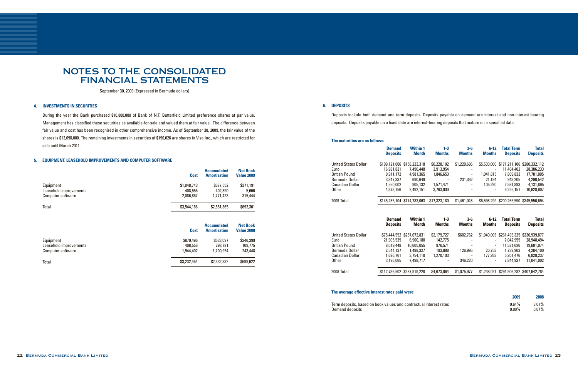September 30, 2009 (Expressed in Bermuda dollars)

### **4. INVESTMENTS IN SECURITIES**

During the year the Bank purchased \$10,800,000 of Bank of N.T. Butterfield Limited preference shares at par value. Management has classified these securities as available-for-sale and valued them at fair value. The difference between fair value and cost has been recognized in other comprehensive income. As of September 30, 2009, the fair value of the shares is \$12,690,000. The remaining investments in securities of \$190,026 are shares in Visa Inc., which are restricted for sale until March 2011.

### **5. EQUIPMENT, LEASEHOLD IMPROVEMENTS AND COMPUTER SOFTWARE**

**6. DEPOSITS**

Deposits include both demand and term deposits. Deposits payable on demand are interest and non-interest bearing deposits. Deposits payable on a fixed date are interest-bearing deposits that mature on a specified date.

### **The maturities are as follows:**

|                             | <b>Demand</b><br><b>Deposits</b> | <b>Within 1</b><br><b>Month</b> | $1 - 3$<br><b>Months</b> | $3-6$<br><b>Months</b> | $6 - 12$<br><b>Months</b> | <b>Total Term</b><br><b>Deposits</b>    | <b>Total</b><br><b>Deposits</b> |
|-----------------------------|----------------------------------|---------------------------------|--------------------------|------------------------|---------------------------|-----------------------------------------|---------------------------------|
| <b>United States Dollar</b> | \$109,121,006                    | \$158,223,318                   | \$6,228,102              | \$1,229,686            |                           | \$5,530,000 \$171,211,106 \$280,332,112 |                                 |
| Euro                        | 16,981,831                       | 7,490,448                       | 3,913,954                |                        |                           | 11,404,402                              | 28,386,233                      |
| <b>British Pound</b>        | 9,911,172                        | 4,981,365                       | 1,846,653                |                        | 1,041,815                 | 7,869,833                               | 17,781,005                      |
| Bermuda Dollar              | 3,347,337                        | 690,649                         |                          | 231,362                | 21,194                    | 943,205                                 | 4,290,542                       |
| Canadian Dollar             | 1,550,002                        | 905,132                         | 1,571,471                |                        | 105,290                   | 2,581,893                               | 4,131,895                       |
| <b>Other</b>                | 4,373,756                        | 2,492,151                       | 3,763,000                |                        |                           | 6,255,151                               | 10,628,907                      |
| 2009 Total                  |                                  | \$145,285,104 \$174,783,063     | \$17,323,180             | \$1,461,048            |                           | \$6,698,299 \$200,265,590 \$345,550,694 |                                 |
|                             |                                  |                                 |                          |                        |                           |                                         |                                 |
|                             | <b>Demand</b><br><b>Deposits</b> | <b>Within 1</b><br><b>Month</b> | $1 - 3$<br><b>Months</b> | $3-6$<br><b>Months</b> | $6 - 12$<br><b>Months</b> | <b>Total Term</b><br><b>Deposits</b>    | <b>Total</b><br><b>Deposits</b> |
| <b>United States Dollar</b> | \$75,444,552                     | \$257,672,831                   | \$2,179,727              | \$602,762              | \$1,040,005               | \$261,495,325 \$336,939,877             |                                 |
| Euro                        | 21,905,539                       | 6,900,180                       | 142,775                  |                        |                           | 7,042,955                               | 28,948,494                      |
| <b>British Pound</b>        | 8,019,448                        | 10,605,055                      | 976,571                  |                        |                           | 11,581,626                              | 19,601,074                      |
| Bermuda Dollar              | 2,544,137                        | 1,488,327                       | 103,888                  | 126,995                | 20,753                    | 1,739,963                               | 4,284,100                       |
| <b>Canadian Dollar</b>      | 1,626,761                        | 3,754,110                       | 1,270,103                |                        | 177,263                   | 5,201,476                               | 6,828,237                       |
| Other                       | 3,196,065                        | 7,498,717                       |                          | 346,220                |                           | 7,844,937                               | 11,041,002                      |

### **The average effective interest rates paid were:**

Term deposits, based on book values and contractual int Demand deposits

|              | 2009              | 2008                 |
|--------------|-------------------|----------------------|
| terest rates | 0.61%<br>$0.00\%$ | $3.01\%$<br>$0.07\%$ |

|                                                          | <b>Cost</b>                         | <b>Accumulated</b><br><b>Amortization</b> | <b>Net Book</b><br><b>Value 2009</b> |
|----------------------------------------------------------|-------------------------------------|-------------------------------------------|--------------------------------------|
| Equipment<br>Leasehold improvements<br>Computer software | \$1,048,743<br>408,556<br>2,086,867 | \$677,552<br>402.890<br>1,771,423         | \$371,191<br>5.666<br>315,444        |
| Total                                                    | \$3,544,166                         | \$2,851,865                               | \$692,301                            |
|                                                          | <b>Cost</b>                         | <b>Accumulated</b><br><b>Amortization</b> | <b>Net Book</b><br><b>Value 2008</b> |
| Equipment<br>Leasehold improvements<br>Computer software | \$879,496<br>408,556<br>1,944,402   | \$533,097<br>298,781<br>1,700,954         | \$346,399<br>109,775<br>243,448      |

Total \$2,532,832 \$699,622 \$2,532,454 \$2,532,832 \$699,622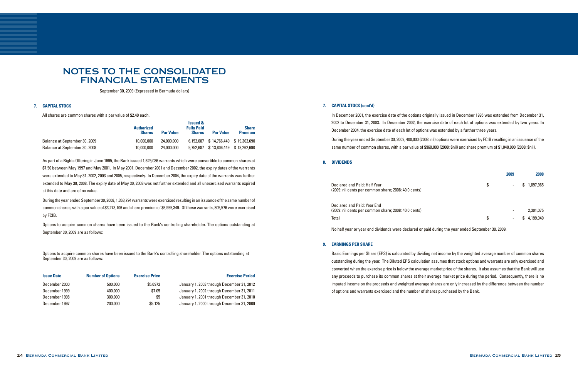### **7. CAPITAL STOCK (cont'd)**

In December 2001, the exercise date of the options originally issued in December 1995 was extended from December 31, 2002 to December 31, 2003. In December 2002, the exercise date of each lot of options was extended by two years. In December 2004, the exercise date of each lot of options was extended by a further three years.

During the year ended September 30, 2009, 400,000 (2008: nil) options were exercised by FCIB resulting in an issuance of the same number of common shares, with a par value of \$960,000 (2008: \$nil) and share premium of \$1,040,000 (2008: \$nil).

### **8. DIVIDENDS**

### **9. EARNINGS PER SHARE**

Basic Earnings per Share (EPS) is calculated by dividing net income by the weighted average number of common shares outstanding during the year. The Diluted EPS calculation assumes that stock options and warrants are only exercised and converted when the exercise price is below the average market price of the shares. It also assumes that the Bank will use any proceeds to purchase its common shares at their average market price during the period. Consequently, there is no imputed income on the proceeds and weighted average shares are only increased by the difference between the number of options and warrants exercised and the number of shares purchased by the Bank.

During the year ended September 30, 2008, 1,363,794 warrants were exercised resulting in an issuance of the same number of common shares, with a par value of \$3,273,106 and share premium of \$6,955,349. Of these warrants, 805,576 were exercised by FCIB.

## NOTES TO THE CONSOLIDATED FINANCIAL STATEMENTS

September 30, 2009 (Expressed in Bermuda dollars)

### **7. CAPITAL STOCK**

Declared and Paid: Half Year (2009: nil cents per common share; 2008: 40.0 cents)

As part of a Rights Offering in June 1995, the Bank issued 1,625,036 warrants which were convertible to common shares at \$7.50 between May 1997 and May 2001. In May 2001, December 2001 and December 2002, the expiry dates of the warrants were extended to May 31, 2002, 2003 and 2005, respectively. In December 2004, the expiry date of the warrants was further extended to May 30, 2008. The expiry date of May 30, 2008 was not further extended and all unexercised warrants expired at this date and are of no value.

Options to acquire common shares have been issued to the Bank's controlling shareholder. The options outstanding at September 30, 2009 are as follows:

All shares are common shares with a par value of \$2.40 each.

|                               | <b>Authorized</b><br><b>Shares</b> | <b>Par Value</b> | <b>Issued &amp;</b><br><b>Fully Paid</b><br><b>Shares</b> | <b>Par Value</b>                    | <b>Share</b><br><b>Premium</b> |
|-------------------------------|------------------------------------|------------------|-----------------------------------------------------------|-------------------------------------|--------------------------------|
| Balance at September 30, 2009 | 10,000,000                         | 24,000,000       |                                                           | 6.152.687 \$14.766.449 \$19.302.690 |                                |
| Balance at September 30, 2008 | 10,000,000                         | 24,000,000       | 5.752.687                                                 |                                     | \$13,806,449 \$18,262,690      |

Options to acquire common shares have been issued to the Bank's controlling shareholder. The options outstanding at September 30, 2009 are as follows:

| <b>Issue Date</b> | <b>Number of Options</b> | <b>Exercise Price</b> | <b>Exercise Period</b>                    |
|-------------------|--------------------------|-----------------------|-------------------------------------------|
| December 2000     | 500,000                  | \$5.6972              | January 1, 2003 through December 31, 2012 |
| December 1999     | 400,000                  | \$7.05                | January 1, 2002 through December 31, 2011 |
| December 1998     | 300,000                  | \$5                   | January 1, 2001 through December 31, 2010 |
| December 1997     | 200,000                  | \$5.125               | January 1, 2000 through December 31, 2009 |

| 2009 | 2008            |
|------|-----------------|
| \$   | \$<br>1,897,965 |
|      | 2,301,075       |
| \$   | \$<br>4,199,040 |

Declared and Paid: Year End (2009: nil cents per common share; 2008: 40.0 cents) Total \$ - \$ 4,199,040

No half year or year end dividends were declared or paid during the year ended September 30, 2009.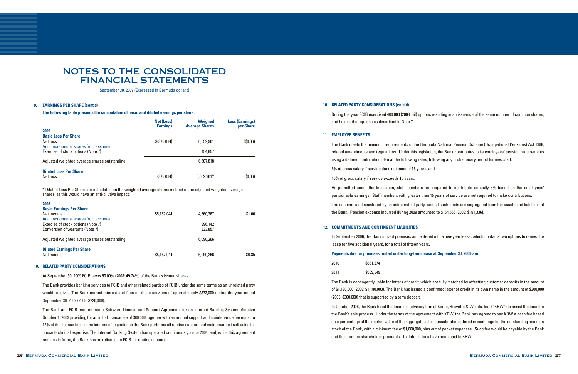September 30, 2009 (Expressed in Bermuda dollars)

### **9. EARNINGS PER SHARE (cont'd**)

 **The following table presents the computation of basic and diluted earnings per share:**

### **10. RELATED PARTY CONSIDERATIONS**

 At September 30, 2009 FCIB owns 53.00% (2008: 49.74%) of the Bank's issued shares.

The Bank provides banking services to FCIB and other related parties of FCIB under the same terms as an unrelated party would receive. The Bank earned interest and fees on these services of approximately \$373,000 during the year ended September 30, 2009 (2008: \$220,000).

The Bank and FCIB entered into a Software License and Support Agreement for an Internet Banking System effective October 1, 2003 providing for an initial license fee of \$80,000 together with an annual support and maintenance fee equal to 15% of the license fee. In the interest of expedience the Bank performs all routine support and maintenance itself using inhouse technical expertise. The Internet Banking System has operated continuously since 2004, and, while this agreement remains in force, the Bank has no reliance on FCIB for routine support.

### **10. RELATED PARTY CONSIDERATIONS (cont'd**)

During the year FCIB exercised 400,000 (2008: nil) options resulting in an issuance of the same number of common shares, and holds other options as described in Note 7.

### **11. EMPLOYEE BENEFITS**

The Bank meets the minimum requirements of the Bermuda National Pension Scheme (Occupational Pensions) Act 1998, related amendments and regulations. Under this legislation, the Bank contributes to its employees' pension requirements using a defined contribution plan at the following rates, following any probationary period for new staff: 5% of gross salary if service does not exceed 15 years; and 10% of gross salary if service exceeds 15 years. As permitted under the legislation, staff members are required to contribute annually 5% based on the employees' pensionable earnings. Staff members with greater than 15 years of service are not required to make contributions.

The scheme is administered by an independent party, and all such funds are segregated from the assets and liabilities of the Bank. Pension expense incurred during 2009 amounted to \$164,566 (2008: \$151,336).

### **12. COMMITMENTS AND CONTINGENT LIABILITIES**

In September 2006, the Bank moved premises and entered into a five-year lease, which contains two options to renew the lease for five additional years, for a total of fifteen years.

### **Payments due for premises rented under long-term lease at September 30, 2009 are**:

| 2010 | \$651,274 |  |
|------|-----------|--|
| 2011 | \$663,549 |  |

The Bank is contingently liable for letters of credit, which are fully matched by offsetting customer deposits in the amount of \$1,180,000 (2008: \$1,180,000). The Bank has issued a confirmed letter of credit in its own name in the amount of \$300,000 (2008: \$300,000) that is supported by a term deposit.

In October 2006, the Bank hired the financial advisory firm of Keefe, Bruyette & Woods, Inc. ("KBW") to assist the board in the Bank's sale process. Under the terms of the agreement with KBW, the Bank has agreed to pay KBW a cash fee based on a percentage of the market value of the aggregate sales consideration offered in exchange for the outstanding common stock of the Bank, with a minimum fee of \$1,000,000, plus out of pocket expenses. Such fee would be payable by the Bank and thus reduce shareholder proceeds. To date no fees have been paid to KBW.

| 2009                                                                            | <b>Net (Loss)</b><br><b>Earnings</b> | <b>Weighed</b><br><b>Average Shares</b> | <b>Loss (Earnings)</b><br>per Share |
|---------------------------------------------------------------------------------|--------------------------------------|-----------------------------------------|-------------------------------------|
| <b>Basic Loss Per Share</b><br>Net loss<br>Add: Incremental shares from assumed | $$$ (375.014)                        | 6,052,961                               | \$(0.06)                            |
| Exercise of stock options (Note 7)                                              |                                      | 454.857                                 |                                     |
| Adjusted weighted average shares outstanding                                    |                                      | 6,507,818                               |                                     |
| <b>Diluted Loss Per Share</b><br>Net loss                                       | (375.014)                            | $6.052.961*$                            | (0.06)                              |

\* Diluted Loss Per Share are calculated on the weighted average shares instead of the adjusted weighted average shares, as this would have an anti-dilutive impact.

| 2008                                         |             |           |        |
|----------------------------------------------|-------------|-----------|--------|
| <b>Basic Earnings Per Share</b>              |             |           |        |
| Net income                                   | \$5,157,044 | 4,860,267 | \$1.06 |
| Add: Incremental shares from assumed         |             |           |        |
| Exercise of stock options (Note 7)           |             | 896.142   |        |
| Conversion of warrants (Note 7)              |             | 333.857   |        |
|                                              |             |           |        |
| Adjusted weighted average shares outstanding |             | 6,090,266 |        |
|                                              |             |           |        |
| <b>Diluted Earnings Per Share</b>            |             |           |        |
| Net income                                   | \$5,157,044 | 6,090,266 | \$0.85 |
|                                              |             |           |        |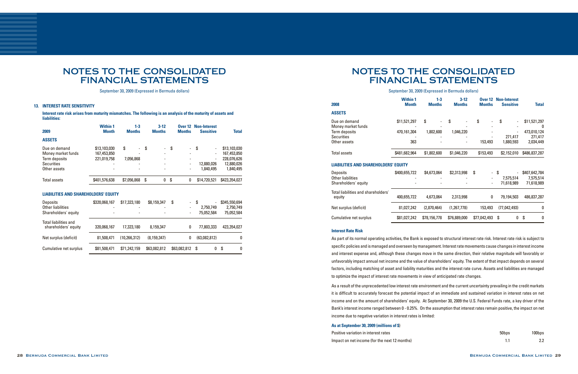### **13. INTEREST RATE SENSITIVITY**

## NOTES TO THE CONSOLIDATED FINANCIAL STATEMENTS

September 30, 2009 (Expressed in Bermuda dollars)

**Interest rate risk arises from maturity mismatches. The following is an analysis of the maturity of assets and liabilities:**

| 2009                                                 | <b>Within 1</b><br><b>Month</b> | $1 - 3$<br><b>Months</b> | $3-12$<br><b>Months</b> | <b>Over 12</b><br><b>Months</b> | <b>Non-Interest</b><br><b>Sensitive</b> | <b>Total</b>  |
|------------------------------------------------------|---------------------------------|--------------------------|-------------------------|---------------------------------|-----------------------------------------|---------------|
| <b>ASSETS</b>                                        |                                 |                          |                         |                                 |                                         |               |
| Due on demand                                        | \$13,103,030                    | \$                       | \$                      | \$                              | \$                                      | \$13,103,030  |
| Money market funds                                   | 167,453,850                     |                          |                         |                                 |                                         | 167,453,850   |
| Term deposits                                        | 221,019,758                     | 7,056,868                |                         |                                 |                                         | 228,076,626   |
| <b>Securities</b>                                    |                                 |                          |                         | $\overline{\phantom{a}}$        | 12,880,026                              | 12,880,026    |
| Other assets                                         |                                 |                          |                         |                                 | 1,840,495                               | 1,840,495     |
| Total assets                                         | \$401,576,638                   | \$7,056,868              | 0<br>S.                 | \$<br>0                         | \$14,720,521                            | \$423,354,027 |
| <b>LIABILITIES AND SHAREHOLDERS' EQUITY</b>          |                                 |                          |                         |                                 |                                         |               |
| <b>Deposits</b>                                      | \$320,068,167                   | \$17,323,180             | \$8,159,347             | \$<br>-                         | \$                                      | \$345,550,694 |
| Other liabilities                                    |                                 |                          |                         |                                 | 2,750,749                               | 2,750,749     |
| Shareholders' equity                                 |                                 |                          |                         | $\overline{\phantom{a}}$        | 75,052,584                              | 75,052,584    |
| <b>Total liabilities and</b><br>shareholders' equity | 320,068,167                     | 17,323,180               | 8,159,347               | 0                               | 77,803,333                              | 423,354,027   |
| Net surplus (deficit)                                | 81,508,471                      | (10, 266, 312)           | (8, 159, 347)           | 0                               | (63,082,812)                            | 0             |
| Cumulative net surplus                               | \$81,508,471                    | \$71,242,159             | \$63,082,812            | \$63,082,812                    | \$<br>0                                 | \$<br>0       |

## NOTES TO THE CONSOLIDATED FINANCIAL STATEMENTS

### September 30, 2009 (Expressed in Bermuda dollars)

| 50bps | 100bps |
|-------|--------|
| 1.1   | 2.2    |

### **Interest Rate Risk**

As part of its normal operating activities, the Bank is exposed to structural interest rate risk. Interest rate risk is subject to specific policies and is managed and overseen by management. Interestrate movements cause changes in interest income and interest expense and, although these changes move in the same direction, their relative magnitude will favorably or unfavorably impact annual net income and the value of shareholders' equity. The extent of that impact depends on several factors, including matching of asset and liability maturities and the interest rate curve. Assets and liabilities are managed to optimize the impact of interest rate movements in view of anticipated rate changes.

As a result of the unprecedented low interest rate environment and the current uncertainty prevailing in the credit markets it is difficult to accurately forecast the potential impact of an immediate and sustained variation in interest rates on net income and on the amount of shareholders' equity. At September 30, 2009 the U.S. Federal Funds rate, a key driver of the Bank's interest income ranged between 0 - 0.25%. On the assumption that interest rates remain positive, the impact on net income due to negative variation in interest rates is limited:

### **As at September 30, 2009 (millions of \$**)

Positive variation in interest rates Impact on net income (for the next 12 months)

| <b>Within 1</b><br><b>Month</b>             | $1 - 3$<br><b>Months</b> | $3 - 12$<br><b>Months</b> | <b>Over 12</b><br><b>Months</b>     | <b>Non-Interest</b><br><b>Sensitive</b> | <b>Total</b>                             |
|---------------------------------------------|--------------------------|---------------------------|-------------------------------------|-----------------------------------------|------------------------------------------|
|                                             |                          |                           |                                     |                                         |                                          |
| \$11,521,297                                | \$                       | S                         | \$                                  | S                                       | \$11,521,297<br>0                        |
| 470,161,304                                 | 1,802,600                | 1,046,220                 |                                     | 271,417                                 | 473,010,124<br>271,417                   |
| 363                                         |                          |                           | 153,493                             | 1,880,593                               | 2,034,449                                |
| \$481,682,964                               | \$1,802,600              | \$1,046,220               | \$153,493                           | \$2,152,010                             | \$486,837,287                            |
| <b>LIABILITIES AND SHAREHOLDERS' EQUITY</b> |                          |                           |                                     |                                         |                                          |
| \$400,655,722                               | \$4,673,064              | \$2,313,998               | \$<br>$\overline{\phantom{a}}$<br>- | Ŝ.<br>7,575,514<br>71,618,989           | \$407,642,784<br>7,575,514<br>71,618,989 |
| 400,655,722                                 | 4,673,064                | 2,313,998                 | 0                                   | 79,194,503                              | 486,837,287                              |
| 81,027,242                                  | (2,870,464)              | (1, 267, 778)             | 153,493                             | (77, 042, 493)                          | 0                                        |
| \$81,027,242                                | \$78,156,778             | \$76,889,000              | \$77,042,493                        | 0<br>Ŝ.                                 | \$<br>0                                  |
|                                             |                          |                           |                                     |                                         |                                          |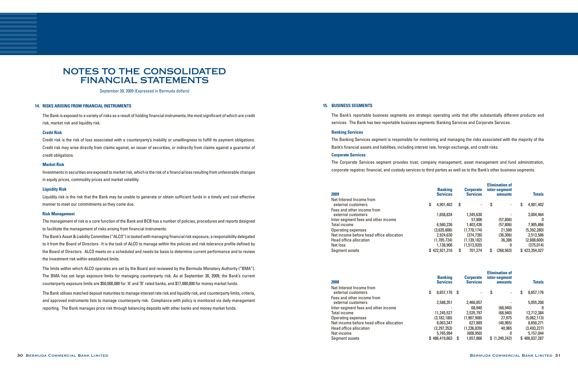September 30, 2009 (Expressed in Bermuda dollars)

### **14. RISKS ARISING FROM FINANCIAL INSTRUMENTS**

The Bank is exposed to a variety of risks as a result of holding financial instruments, the most significant of which are credit risk, market risk and liquidity risk.

### **Credit Risk**

Investments in securities are exposed to market risk, which is the risk of a financial loss resulting from unfavorable changes in equity prices, commodity prices and market volatility.

Credit risk is the risk of loss associated with a counterparty's inability or unwillingness to fulfill its payment obligations. Credit risk may arise directly from claims against, an issuer of securities, or indirectly from claims against a guarantor of credit obligations.

### **Market Risk**

The Bank's Asset & Liability Committee ("ALCO") is tasked with managing financial risk exposure, a responsibility delegated to it from the Board of Directors. It is the task of ALCO to manage within the policies and risk tolerance profile defined by the Board of Directors. ALCO meets on a scheduled and needs be basis to determine current performance and to review the investment risk within established limits.

### **Liquidity Risk**

Liquidity risk is the risk that the Bank may be unable to generate or obtain sufficient funds in a timely and cost-effective manner to meet our commitments as they come due.

### **Risk Managemen**t

The management of risk is a core function of the Bank and BCB has a number of policies, procedures and reports designed to facilitate the management of risks arising from financial instruments.

The limits within which ALCO operates are set by the Board and reviewed by the Bermuda Monetary Authority ("BMA"). The BMA has set large exposure limits for managing counterparty risk. As at September 30, 2009, the Bank's current counterparty exposure limits are \$50,000,000 for 'A' and 'B' rated banks, and \$17,000,000 for money market funds.

The Bank utilises matched deposit maturities to manage interest rate risk and liquidity risk, and counterparty limits, criteria, and approved instruments lists to manage counterparty risk. Compliance with policy is monitored via daily management reporting. The Bank manages price risk through balancing deposits with other banks and money market funds.

### **15. BUSINESS SEGMENTS**

The Bank's reportable business segments are strategic operating units that offer substantially different products and services. The Bank has two reportable business segments: Banking Services and Corporate Services.

### **Banking Services**

The Banking Services segment is responsible for monitoring and managing the risks associated with the majority of the Bank's financial assets and liabilities, including interest rate, foreign exchange, and credit risks.

### **Corporate Services**

The Corporate Services segment provides trust, company management, asset management and fund administration, corporate registrar, financial, and custody services to third parties as well as to the Bank's other business segments.

### **2009**

| <b>Banking</b><br><b>Services</b> |                            | <b>Corporate</b><br><b>Services</b> |           | amounts                  |                                        | <b>Totals</b> |
|-----------------------------------|----------------------------|-------------------------------------|-----------|--------------------------|----------------------------------------|---------------|
| 4,901,402                         | S                          | $\overline{\phantom{a}}$            | \$        | $\overline{\phantom{a}}$ | \$                                     | 4,901,402     |
|                                   |                            |                                     |           |                          |                                        | 3,004,464     |
|                                   |                            | 57,806                              |           | (57, 806)                |                                        | $\Omega$      |
| 6,560,236                         |                            | 1,403,436                           |           | (57,806)                 |                                        | 7,905,866     |
| (3,635,606)                       |                            | (1,778,174)                         |           | 21,500                   |                                        | (5,392,280)   |
| 2,924,630                         |                            | (374.738)                           |           | (36, 306)                |                                        | 2,513,586     |
| (1,785,724)                       |                            | (1, 139, 182)                       |           | 36,306                   |                                        | (2,888,600)   |
| 1.138.906                         |                            | (1,513,920)                         |           | O                        |                                        | (375, 014)    |
|                                   | S                          | 701.274                             | \$        | (268.563)                |                                        | \$423,354,027 |
|                                   | 1,658,834<br>\$422,921,316 |                                     | 1,345,630 |                          | <b>Elimination of</b><br>inter-segment |               |

### **2008**

| 2008                                           |   | <b>Banking</b><br><b>Services</b> |      | <b>Corporate</b><br><b>Services</b> | <b>Elimination of</b><br>inter-segment<br>amounts | <b>Totals</b>   |
|------------------------------------------------|---|-----------------------------------|------|-------------------------------------|---------------------------------------------------|-----------------|
| Net Interest Income from<br>external customers | S | 8,657,176                         | - \$ | $\blacksquare$                      | \$<br>$\overline{\phantom{a}}$                    | \$<br>8,657,176 |
| Fees and other income from                     |   |                                   |      |                                     |                                                   |                 |
| external customers                             |   | 2,588,351                         |      | 2,466,857                           |                                                   | 5,055,208       |
| Inter-segment fees and other income            |   |                                   |      | 68,940                              | (68, 940)                                         | 0               |
| Total income                                   |   | 11,245,527                        |      | 2.535.797                           | (68, 940)                                         | 13,712,384      |
| Operating expenses                             |   | (3, 182, 180)                     |      | (1,907,908)                         | 27.975                                            | (5,062,113)     |
| Net income before head office allocation       |   | 8,063,347                         |      | 627.889                             | (40, 965)                                         | 8,650,271       |
| Head office allocation                         |   | (2,297,353)                       |      | (1,236,839)                         | 40,965                                            | (3,493,227)     |
| Net income                                     |   | 5,765,994                         |      | (608, 950)                          |                                                   | 5,157,044       |
| Seament assets                                 |   | \$486,419,663                     | S    | 1.657.866                           | \$(1.240.242)                                     | \$486,837,287   |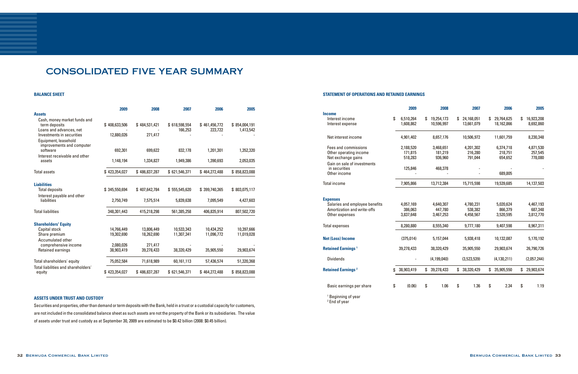## CONSOLIDATED FIVE YEAR SUMMARY

### **BALANCE SHEET**

|                                                                                | 2009          | 2008          | 2007                     | 2006                     | 2005                       |
|--------------------------------------------------------------------------------|---------------|---------------|--------------------------|--------------------------|----------------------------|
| <b>Assets</b>                                                                  |               |               |                          |                          |                            |
| Cash, money market funds and<br>term deposits<br>Loans and advances, net       | \$408,633,506 | \$484,531,421 | \$618,598,554<br>166,253 | \$461,456,772<br>223,722 | \$854,004,191<br>1,413,542 |
| Investments in securities<br>Equipment, leasehold<br>improvements and computer | 12,880,026    | 271,417       |                          |                          |                            |
| software<br>Interest receivable and other                                      | 692.301       | 699,622       | 832,178                  | 1,201,301                | 1,352,320                  |
| assets                                                                         | 1,148,194     | 1,334,827     | 1,949,386                | 1,390,693                | 2,053,035                  |
| <b>Total assets</b>                                                            | \$423,354,027 | \$486,837,287 | \$621,546,371            | \$464,272,488            | \$858,823,088              |
| <b>Liabilities</b>                                                             |               |               |                          |                          |                            |
| <b>Total deposits</b><br>Interest payable and other                            | \$345,550,694 | \$407,642,784 | \$555,545,620            | \$399,740,365            | \$803,075,117              |
| liabilities                                                                    | 2,750,749     | 7,575,514     | 5,839,638                | 7,095,549                | 4,427,603                  |
| <b>Total liabilities</b>                                                       | 348,301,443   | 415,218,298   | 561,385,258              | 406,835,914              | 807,502,720                |
| <b>Shareholders' Equity</b>                                                    |               |               |                          |                          |                            |
| Capital stock                                                                  | 14,766,449    | 13,806,449    | 10,533,343               | 10,434,252               | 10,397,666                 |
| Share premium<br>Accumulated other                                             | 19,302,690    | 18,262,690    | 11,307,341               | 11,096,772               | 11,019,028                 |
| comprehensive income                                                           | 2,080,026     | 271.417       |                          |                          |                            |
| <b>Retained earnings</b>                                                       | 38,903,419    | 39,278,433    | 38,320,429               | 35,905,550               | 29,903,674                 |
| Total shareholders' equity                                                     | 75,052,584    | 71,618,989    | 60,161,113               | 57,436,574               | 51,320,368                 |
| Total liabilities and shareholders'<br>equity                                  | \$423,354,027 | \$486,837,287 | \$621,546,371            | \$464,272,488            | \$858,823,088              |

### **STATEMENT OF OPERATIONS AND RETAINED EARNINGS**

Securities and properties, other than demand or term deposits with the Bank, held in a trust or a custodial capacity for customers, are not included in the consolidated balance sheet as such assets are not the property of the Bank or its subsidiaries. The value of assets under trust and custody as at September 30, 2009 are estimated to be \$0.42 billion (2008: \$0.45 billion).

|                                      | 2009             | 2008             | 2007             | 2006             | 2005             |
|--------------------------------------|------------------|------------------|------------------|------------------|------------------|
| <b>Income</b>                        |                  |                  |                  |                  |                  |
| Interest income                      | \$<br>6,510,264  | \$<br>19,254,173 | \$<br>24,168,051 | \$<br>29,764,625 | \$<br>16,923,208 |
| Interest expense                     | 1,608,862        | 10,596,997       | 13,661,079       | 18,162,866       | 8,692,860        |
| Net interest income                  | 4,901,402        | 8,657,176        | 10,506,972       | 11,601,759       | 8,230,348        |
| Fees and commissions                 | 2,188,520        | 3,468,651        | 4,201,302        | 6,374,718        | 4,871,530        |
| Other operating income               | 171,815          | 181,219          | 216,280          | 218,751          | 257,545          |
| Net exchange gains                   | 518,283          | 936,960          | 791,044          | 654,652          | 778,080          |
| Gain on sale of investments          |                  |                  |                  |                  |                  |
| in securities                        | 125,846          | 468,378          |                  |                  |                  |
| Other income                         |                  |                  |                  | 689,805          |                  |
| <b>Total income</b>                  | 7,905,866        | 13,712,384       | 15,715,598       | 19,539,685       | 14,137,503       |
| <b>Expenses</b>                      |                  |                  |                  |                  |                  |
| Salaries and employee benefits       | 4,057,169        | 4,640,307        | 4,780,231        | 5,020,624        | 4,467,193        |
| Amortization and write-offs          | 386,063          | 447,780          | 538,382          | 866,379          | 687,348          |
| Other expenses                       | 3,837,648        | 3,467,253        | 4,458,567        | 3,520,595        | 3,812,770        |
| <b>Total expenses</b>                | 8,280,880        | 8,555,340        | 9,777,180        | 9,407,598        | 8,967,311        |
| <b>Net (Loss) Income</b>             | (375, 014)       | 5,157,044        | 5,938,418        | 10,132,087       | 5,170,192        |
| <b>Retained Earnings<sup>1</sup></b> | 39,278,433       | 38,320,429       | 35,905,550       | 29,903,674       | 26,790,726       |
| <b>Dividends</b>                     |                  | (4, 199, 040)    | (3,523,539)      | (4, 130, 211)    | (2,057,244)      |
| <b>Retained Earnings<sup>2</sup></b> | \$<br>38,903,419 | \$<br>39,278,433 | \$<br>38,320,429 | \$<br>35,905,550 | \$<br>29,903,674 |
| Basic earnings per share             | \$<br>(0.06)     | \$<br>1.06       | \$<br>1.36       | \$<br>2.34       | \$<br>1.19       |
| <sup>1</sup> Beginning of year       |                  |                  |                  |                  |                  |

<sup>2</sup> End of year

### **ASSETS UNDER TRUST AND CUSTODY**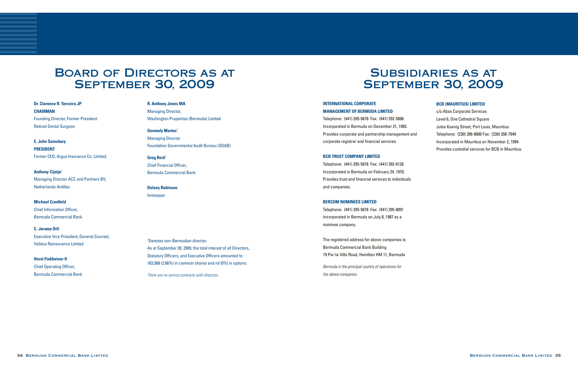### **INTERNATIONAL CORPORATE MANAGEMENT OF BERMUDA LIMITED**

Telephone: (441) 295-5678 Fax: (441) 292-5898 Incorporated in Bermuda on December 21, 1992. Provides corporate and partnership management and corporate registrar and financial services.

### **BCB TRUST COMPANY LIMITED**

Telephone: (441) 295-5678 Fax: (441) 292-6128 Incorporated in Bermuda on February 24, 1970. Provides trust and financial services to individuals and companies.

### **BERCOM NOMINEES LIMITED**

Telephone: (441) 295-5678 Fax: (441) 295-8091 Incorporated in Bermuda on July 8, 1987 as a nominee company.

# Subsidiaries as at **SEPTEMBER 30, 2009**

The registered address for above companies is: Bermuda Commercial Bank Building 19 Par-la-Ville Road, Hamilton HM 11, Bermuda

*Bermuda is the principal country of operations for the above companies.*

### **BCB (MAURITIUS) LIMITED**

c/o Abax Corporate Services Level 6, One Cathedral Square Jules Koenig Street, Port Louis, Mauritius Telephone: (230) 206-8600 Fax: (230) 208-7949 Incorporated in Mauritius on November 2, 1994. Provides custodial services for BCB in Mauritius.

# Board of Directors as at **SEPTEMBER 30, 2009**

**Dr. Clarence R. Terceira JP CHAIRMAN** Founding Director, Former President Retired Dental Surgeon

**E. John Sainsbury PRESIDENT** Former CEO, Argus Insurance Co. Limited.

**Anthony Cijntje**<sup>1</sup> Managing Director ACC and Partners BV, Netherlands Antilles

**Michael Cranfield** Chief Information Officer, Bermuda Commercial Bank

**C. Jerome Dill**  Executive Vice President, General Counsel, Validus Reinsurance Limited

**Horst Finkbeiner II** Chief Operating Officer, Bermuda Commercial Bank **R. Anthony Jones MA** Managing Director, Washington Properties (Bermuda) Limited

**Geomaly Martes**<sup>1</sup> Managing Director Foundation Governmental Audit Bureau (SOAB)

**Greg Reid**<sup>1</sup> Chief Financial Officer, Bermuda Commercial Bank

**Delaey Robinson** Innkeeper

1 Denotes non-Bermudian director. As at September 30, 2009, the total interest of all Directors, Statutory Officers, and Executive Officers amounted to 163,568 (2.66%) in common shares and nil (0%) in options.

*There are no service contracts with directors.*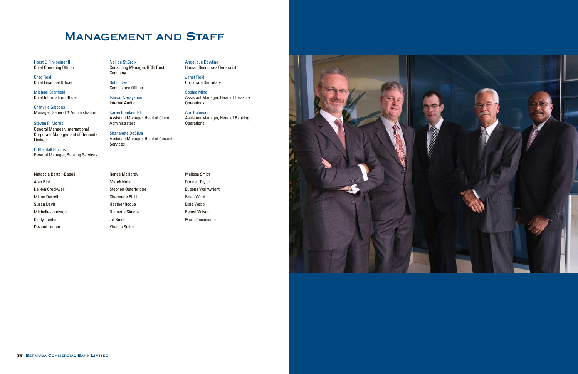# **MANAGEMENT AND STAFF**

Horst E. Finkbeiner II Chief Operating Officer

Greg Reid Chief Financial Officer

Michael Cranfield Chief Information Officer

Granville Gibbons Manager, General & Administration Neil de St.Croix Consulting Manager, BCB Trust **Company** 

Steven R. Morris General Manager, International Corporate Management of Bermuda Limited

P. Glendall Phillips General Manager, Banking Services Sophia Ming Assistant Manager, Head of Treasury **Operations** 

Ann Robinson Assistant Manager, Head of Banking **Operations** 



Robin Dyer Compliance Officer

Ishwar Narayanan Internal Auditor

Karen Blankendal Assistant Manager, Head of Client Administrators

Shanalette DeSilva Assistant Manager, Head of Custodial Services

Angelique Dowling Human Resources Generalist

Janet Field Corporate Secretary

Natascia Bertoli-Badoli Alan Bird Kal-lyn Crockwell Milton Darrell Susan Davis Michelle Johnston Cindy Lambe Dezané Lathan

Reneé McHardy Marek Noha Stephen Outerbridge Charmette Phillip Heather Roque Donnette Simons Jill Smith Khamla Smith

Melissa Smith Donnell Taylor Eugena Wainwright Brian Ward Elsie Webb Reneé Wilson Marc Zinsmeister

![](_page_18_Picture_22.jpeg)